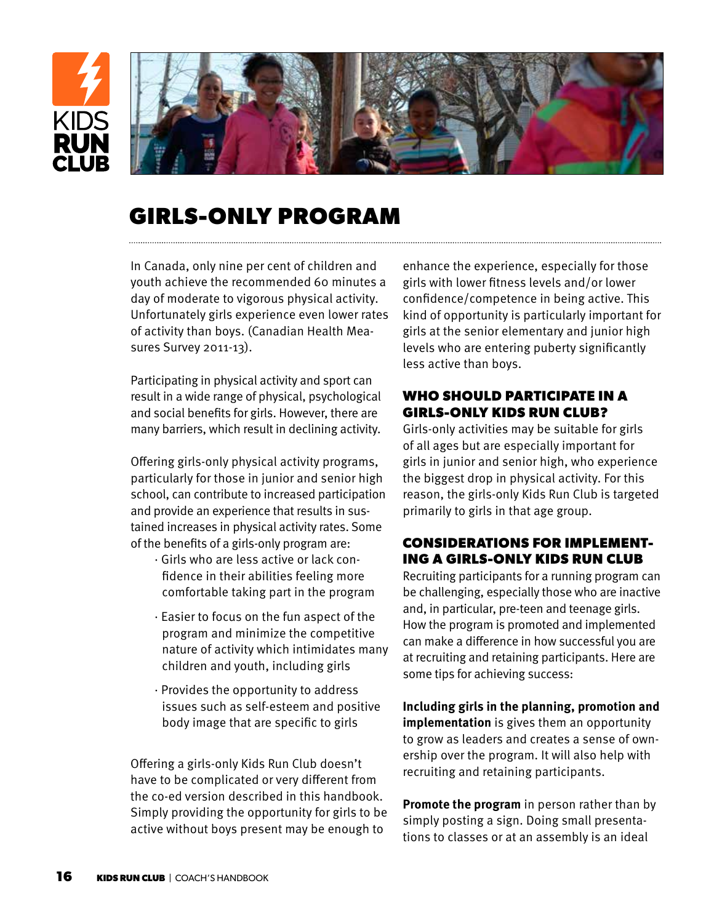

# **GIRLS-ONLY PROGRAM**

In Canada, only nine per cent of children and youth achieve the recommended 60 minutes a day of moderate to vigorous physical activity. Unfortunately girls experience even lower rates of activity than boys. (Canadian Health Measures Survey 2011-13).

Participating in physical activity and sport can result in a wide range of physical, psychological and social benefits for girls. However, there are many barriers, which result in declining activity.

Offering girls-only physical activity programs, particularly for those in junior and senior high school, can contribute to increased participation and provide an experience that results in sustained increases in physical activity rates. Some of the benefits of a girls-only program are:

- · Girls who are less active or lack confidence in their abilities feeling more comfortable taking part in the program
- · Easier to focus on the fun aspect of the program and minimize the competitive nature of activity which intimidates many children and youth, including girls
- · Provides the opportunity to address issues such as self-esteem and positive body image that are specific to girls

Offering a girls-only Kids Run Club doesn't have to be complicated or very different from the co-ed version described in this handbook. Simply providing the opportunity for girls to be active without boys present may be enough to

enhance the experience, especially for those girls with lower fitness levels and/or lower confidence/competence in being active. This kind of opportunity is particularly important for girls at the senior elementary and junior high levels who are entering puberty significantly less active than boys.

### **WHO SHOULD PARTICIPATE IN A GIRLS-ONLY KIDS RUN CLUB?**

Girls-only activities may be suitable for girls of all ages but are especially important for girls in junior and senior high, who experience the biggest drop in physical activity. For this reason, the girls-only Kids Run Club is targeted primarily to girls in that age group.

#### **CONSIDERATIONS FOR IMPLEMENT-ING A GIRLS-ONLY KIDS RUN CLUB**

Recruiting participants for a running program can be challenging, especially those who are inactive and, in particular, pre-teen and teenage girls. How the program is promoted and implemented can make a difference in how successful you are at recruiting and retaining participants. Here are some tips for achieving success:

**Including girls in the planning, promotion and implementation** is gives them an opportunity to grow as leaders and creates a sense of ownership over the program. It will also help with recruiting and retaining participants.

**Promote the program** in person rather than by simply posting a sign. Doing small presentations to classes or at an assembly is an ideal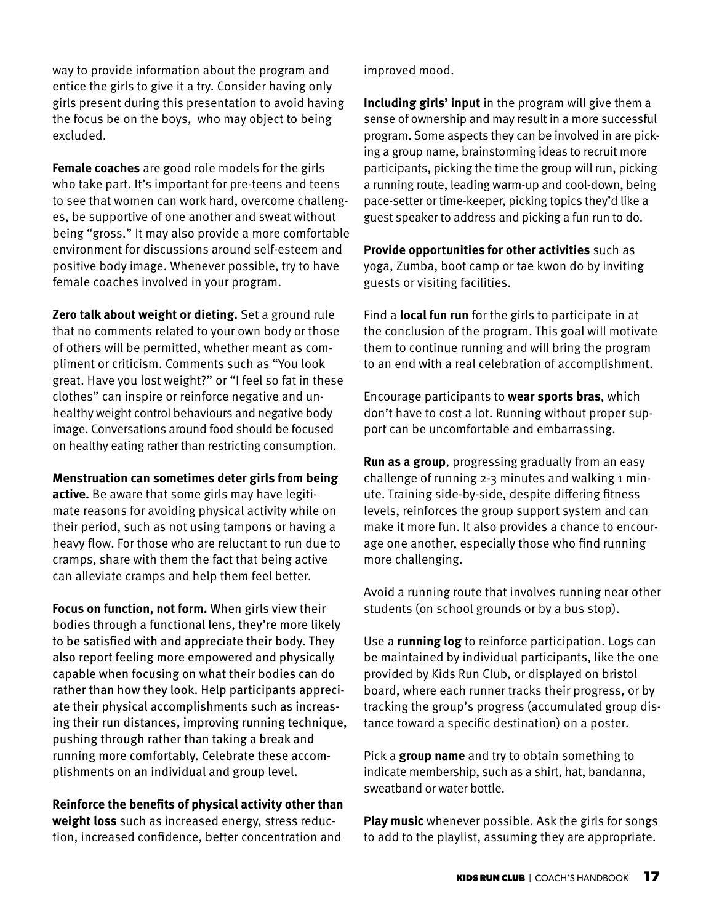way to provide information about the program and entice the girls to give it a try. Consider having only girls present during this presentation to avoid having the focus be on the boys, who may object to being excluded.

**Female coaches** are good role models for the girls who take part. It's important for pre-teens and teens to see that women can work hard, overcome challenges, be supportive of one another and sweat without being "gross." It may also provide a more comfortable environment for discussions around self-esteem and positive body image. Whenever possible, try to have female coaches involved in your program.

**Zero talk about weight or dieting.** Set a ground rule that no comments related to your own body or those of others will be permitted, whether meant as compliment or criticism. Comments such as "You look great. Have you lost weight?" or "I feel so fat in these clothes" can inspire or reinforce negative and unhealthy weight control behaviours and negative body image. Conversations around food should be focused on healthy eating rather than restricting consumption.

**Menstruation can sometimes deter girls from being active.** Be aware that some girls may have legitimate reasons for avoiding physical activity while on their period, such as not using tampons or having a heavy flow. For those who are reluctant to run due to cramps, share with them the fact that being active can alleviate cramps and help them feel better.

**Focus on function, not form.** When girls view their bodies through a functional lens, they're more likely to be satisfied with and appreciate their body. They also report feeling more empowered and physically capable when focusing on what their bodies can do rather than how they look. Help participants appreciate their physical accomplishments such as increasing their run distances, improving running technique, pushing through rather than taking a break and running more comfortably. Celebrate these accomplishments on an individual and group level.

#### **Reinforce the benefits of physical activity other than**

**weight loss** such as increased energy, stress reduction, increased confidence, better concentration and improved mood.

**Including girls' input** in the program will give them a sense of ownership and may result in a more successful program. Some aspects they can be involved in are picking a group name, brainstorming ideas to recruit more participants, picking the time the group will run, picking a running route, leading warm-up and cool-down, being pace-setter or time-keeper, picking topics they'd like a guest speaker to address and picking a fun run to do.

**Provide opportunities for other activities** such as yoga, Zumba, boot camp or tae kwon do by inviting guests or visiting facilities.

Find a **local fun run** for the girls to participate in at the conclusion of the program. This goal will motivate them to continue running and will bring the program to an end with a real celebration of accomplishment.

Encourage participants to **wear sports bras**, which don't have to cost a lot. Running without proper support can be uncomfortable and embarrassing.

**Run as a group**, progressing gradually from an easy challenge of running 2-3 minutes and walking 1 minute. Training side-by-side, despite differing fitness levels, reinforces the group support system and can make it more fun. It also provides a chance to encourage one another, especially those who find running more challenging.

Avoid a running route that involves running near other students (on school grounds or by a bus stop).

Use a **running log** to reinforce participation. Logs can be maintained by individual participants, like the one provided by Kids Run Club, or displayed on bristol board, where each runner tracks their progress, or by tracking the group's progress (accumulated group distance toward a specific destination) on a poster.

Pick a **group name** and try to obtain something to indicate membership, such as a shirt, hat, bandanna, sweatband or water bottle.

**Play music** whenever possible. Ask the girls for songs to add to the playlist, assuming they are appropriate.